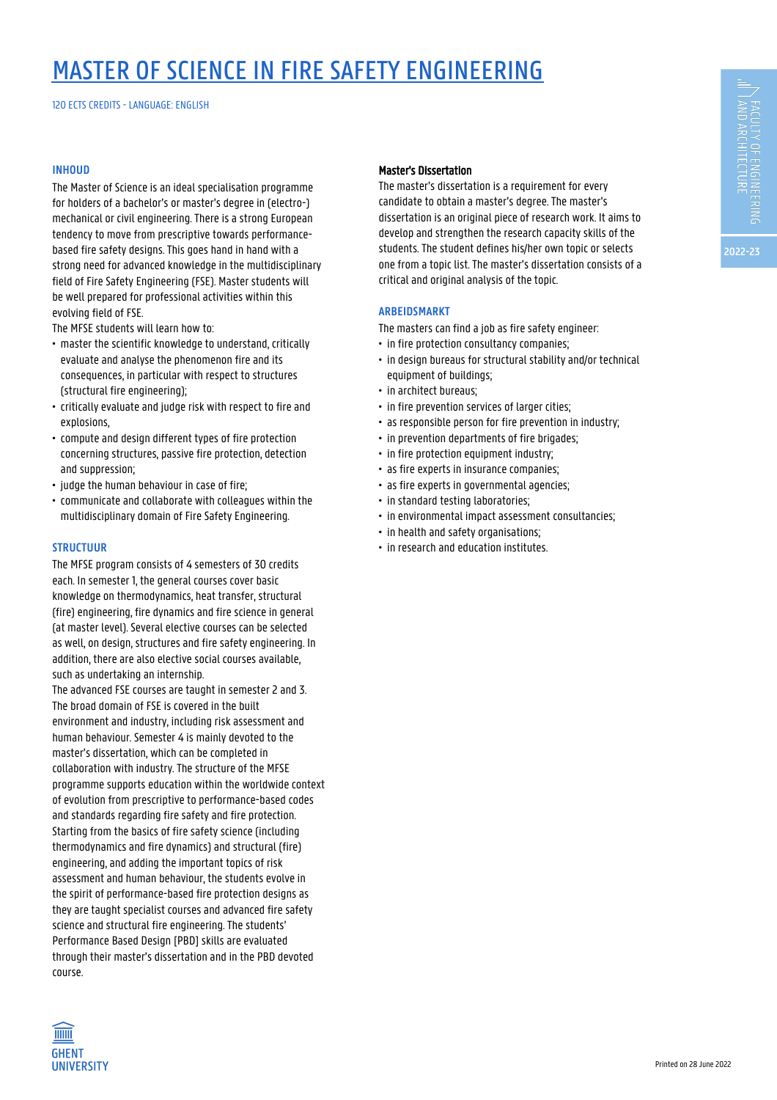# MASTER OF SCIENCE IN FIRE SAFETY ENGINEERING

120 ECTS CREDITS - LANGUAGE: ENGLISH

### **INHOUD**

The Master of Science is an ideal specialisation programme for holders of a bachelor's or master's degree in (electro-) mechanical or civil engineering. There is a strong European tendency to move from prescriptive towards performancebased fire safety designs. This goes hand in hand with a strong need for advanced knowledge in the multidisciplinary field of Fire Safety Engineering (FSE). Master students will be well prepared for professional activities within this evolving field of FSE.

The MFSE students will learn how to:

- master the scientific knowledge to understand, critically • evaluate and analyse the phenomenon fire and its • consequences, in particular with respect to structures (structural fire engineering);
- critically evaluate and judge risk with respect to fire and explosions.
- compute and design different types of fire protection • concerning structures, passive fire protection, detection and suppression:
- judge the human behaviour in case of fire;
- communicate and collaborate with colleagues within the • multidisciplinary domain of Fire Safety Engineering.

#### **STRUCTUUR**

The MFSE program consists of 4 semesters of 30 credits each. In semester 1, the general courses cover basic knowledge on thermodynamics, heat transfer, structural (fire) engineering, fire dynamics and fire science in general (at master level). Several elective courses can be selected as well, on design, structures and fire safety engineering. In addition, there are also elective social courses available, such as undertaking an internship.

The advanced FSE courses are taught in semester 2 and 3. The broad domain of FSE is covered in the built environment and industry, including risk assessment and human behaviour. Semester 4 is mainly devoted to the master's dissertation, which can be completed in collaboration with industry. The structure of the MFSE programme supports education within the worldwide context of evolution from prescriptive to performance-based codes and standards regarding fire safety and fire protection. Starting from the basics of fire safety science (including thermodynamics and fire dynamics) and structural (fire) engineering, and adding the important topics of risk assessment and human behaviour, the students evolve in the spirit of performance-based fire protection designs as they are taught specialist courses and advanced fire safety science and structural fire engineering. The students' Performance Based Design [PBD] skills are evaluated through their master's dissertation and in the PBD devoted course.



The master's dissertation is a requirement for every candidate to obtain a master's degree. The master's dissertation is an original piece of research work. It aims to develop and strengthen the research capacity skills of the students. The student defines his/her own topic or selects one from a topic list. The master's dissertation consists of a critical and original analysis of the topic.

### **ARBEIDSMARKT**

The masters can find a job as fire safety engineer:

- in fire protection consultancy companies;
- in design bureaus for structural stability and/or technical equipment of buildings;
- in architect bureaus;
- in fire prevention services of larger cities;
- as responsible person for fire prevention in industry;
- in prevention departments of fire brigades;
- in fire protection equipment industry;
- as fire experts in insurance companies;
- as fire experts in governmental agencies;
- in standard testing laboratories;
- in environmental impact assessment consultancies;
- in health and safety organisations;
- in research and education institutes.

**TITTITI GHENT UNIVERSITY**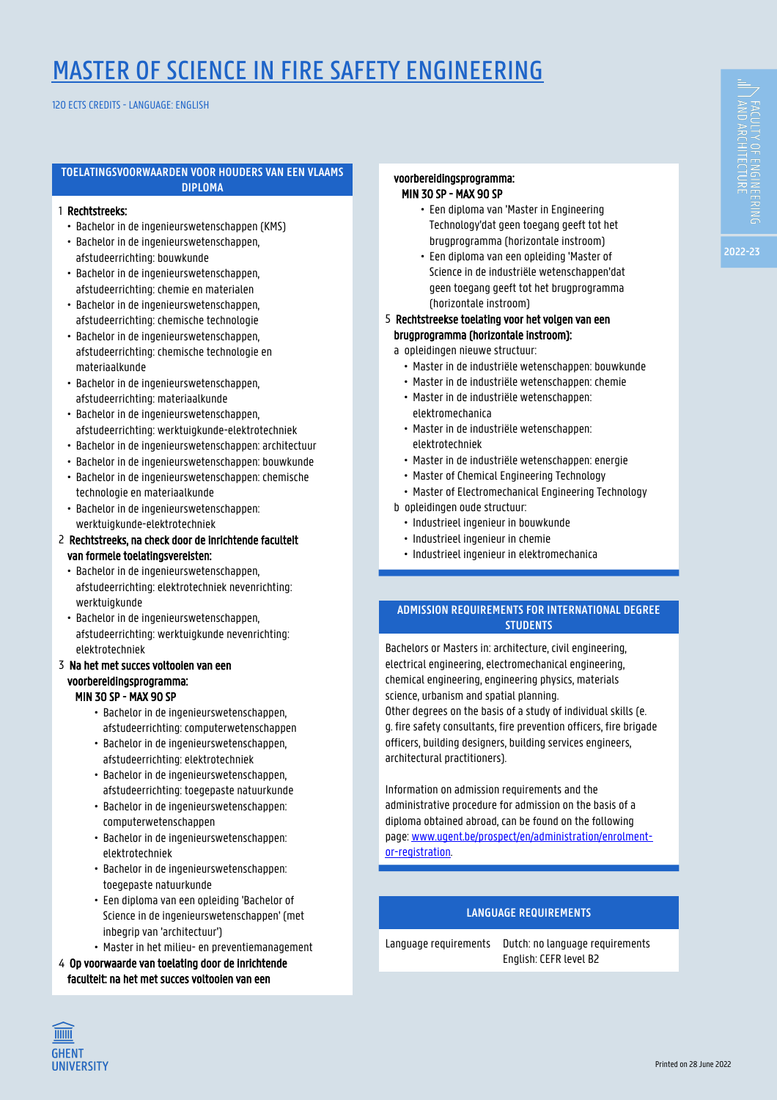# MASTER OF SCIENCE IN FIRE SAFETY ENGINEERING

120 ECTS CREDITS - LANGUAGE: ENGLISH

#### **TOELATINGSVOORWAARDEN VOOR HOUDERS VAN EEN VLAAMS DIPLOMA**

## 1 Rechtstreeks:

- Bachelor in de ingenieurswetenschappen (KMS)
- Bachelor in de ingenieurswetenschappen, afstudeerrichting: bouwkunde
- Bachelor in de ingenieurswetenschappen, 1 • afstudeerrichting: chemie en materialen
- Bachelor in de ingenieurswetenschappen, afstudeerrichting: chemische technologie
- 1 Bachelor in de ingenieurswetenschappen, afstudeerrichting: chemische technologie en materiaalkunde
- Bachelor in de ingenieurswetenschappen, 1 • afstudeerrichting: materiaalkunde
- Bachelor in de ingenieurswetenschappen, 1 • afstudeerrichting: werktuigkunde-elektrotechniek
- 1 Bachelor in de ingenieurswetenschappen: architectuur
- 1 Bachelor in de ingenieurswetenschappen: bouwkunde
- 1 Bachelor in de ingenieurswetenschappen: chemische technologie en materiaalkunde
- 1 Bachelor in de ingenieurswetenschappen: 1 • werktuigkunde-elektrotechniek

## 2 Rechtstreeks, na check door de inrichtende faculteit van formele toelatingsvereisten:

- Bachelor in de ingenieurswetenschappen, afstudeerrichting: elektrotechniek nevenrichting: werktuigkunde
- Bachelor in de ingenieurswetenschappen, afstudeerrichting: werktuigkunde nevenrichting: 1 • elektrotechniek

### 3 Na het met succes voltooien van een 1 voorbereidingsprogramma: **MIN 30 SP - MAX 90 SP**

- Bachelor in de ingenieurswetenschappen afstudeerrichting: computerwetenschappen
- Bachelor in de ingenieurswetenschappen, afstudeerrichting: elektrotechniek
- Bachelor in de ingenieurswetenschappen, afstudeerrichting: toegepaste natuurkunde
- Bachelor in de ingenieurswetenschappen: computerwetenschappen
- Bachelor in de ingenieurswetenschappen: elektrotechniek
- Bachelor in de ingenieurswetenschappen: toegepaste natuurkunde
- Een diploma van een opleiding 'Bachelor of Science in de ingenieurswetenschappen' (met inbegrip van 'architectuur')
- Master in het milieu- en preventiemanagement
- 4 Op voorwaarde van toelating door de inrichtende 1 faculteit: na het met succes voltooien van een

## 1 voorbereidingsprogramma: **MIN 30 SP - MAX 90 SP**

- Een diploma van 'Master in Engineering Technology'dat geen toegang geeft tot het brugprogramma (horizontale instroom)
- Een diploma van een opleiding 'Master of Science in de industriële wetenschappen'dat geen toegang geeft tot het brugprogramma (horizontale instroom)
- 5 Rechtstreekse toelating voor het volgen van een 1 brugprogramma (horizontale instroom):
	- a opleidingen nieuwe structuur:
		- Master in de industriële wetenschappen: bouwkunde
		- Master in de industriële wetenschappen: chemie • Master in de industriële wetenschappen:
		- elektromechanica
		- Master in de industriële wetenschappen: elektrotechniek
		- Master in de industriële wetenschappen: energie
		- Master of Chemical Engineering Technology
		- Master of Electromechanical Engineering Technology
	- b opleidingen oude structuur:
		- Industrieel ingenieur in bouwkunde
		- Industrieel ingenieur in chemie
		- Industrieel ingenieur in elektromechanica

## **ADMISSION REQUIREMENTS FOR INTERNATIONAL DEGREE STUDENTS**

Bachelors or Masters in: architecture, civil engineering, electrical engineering, electromechanical engineering, chemical engineering, engineering physics, materials science, urbanism and spatial planning.

Other degrees on the basis of a study of individual skills (e. g. fire safety consultants, fire prevention officers, fire brigade officers, building designers, building services engineers, architectural practitioners).

Information on admission requirements and the administrative procedure for admission on the basis of a diploma obtained abroad, can be found on the following page: [www.ugent.be/prospect/en/administration/enrolment](https://www.ugent.be/prospect/en/administration/enrolment-or-registration)[or-registration](https://www.ugent.be/prospect/en/administration/enrolment-or-registration).

## **LANGUAGE REQUIREMENTS**

Language requirements Dutch: no language requirements English: CEFR level B2

**TITTITI GHENT UNIVERSITY**  **2022-23**